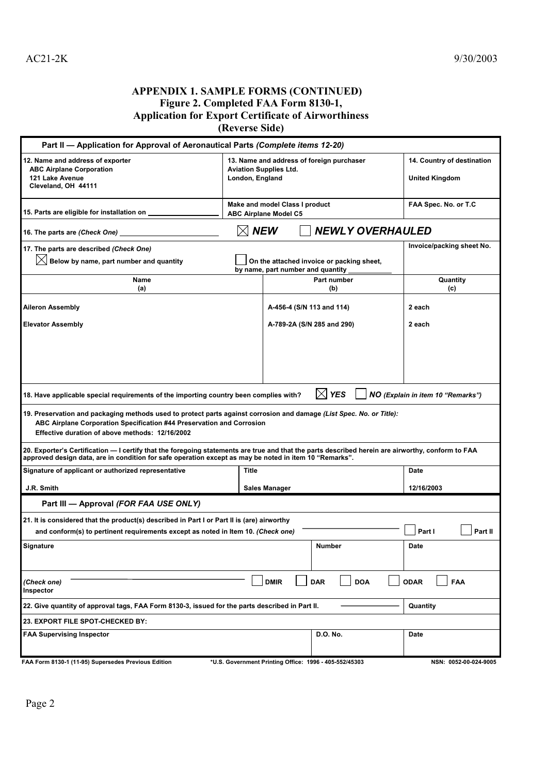## **APPENDIX 1. SAMPLE FORMS (CONTINUED) Figure 2. Completed FAA Form 8130-1, Application for Export Certificate of Airworthiness (Reverse Side)**

|                                                                                                                                                                                                                                                             | $(100 \times 100 \times 100)$                                                                 |                            |                                                        |                           |  |
|-------------------------------------------------------------------------------------------------------------------------------------------------------------------------------------------------------------------------------------------------------------|-----------------------------------------------------------------------------------------------|----------------------------|--------------------------------------------------------|---------------------------|--|
| Part II - Application for Approval of Aeronautical Parts (Complete items 12-20)                                                                                                                                                                             |                                                                                               |                            |                                                        |                           |  |
| 12. Name and address of exporter<br><b>ABC Airplane Corporation</b><br>121 Lake Avenue<br>Cleveland, OH 44111                                                                                                                                               | 13. Name and address of foreign purchaser<br><b>Aviation Supplies Ltd.</b><br>London, England |                            | 14. Country of destination<br><b>United Kingdom</b>    |                           |  |
| 15. Parts are eligible for installation on _                                                                                                                                                                                                                | Make and model Class I product<br><b>ABC Airplane Model C5</b>                                |                            |                                                        | FAA Spec. No. or T.C      |  |
| $\boxtimes$ New<br><b>NEWLY OVERHAULED</b><br>16. The parts are (Check One)                                                                                                                                                                                 |                                                                                               |                            |                                                        |                           |  |
| 17. The parts are described (Check One)                                                                                                                                                                                                                     |                                                                                               |                            |                                                        | Invoice/packing sheet No. |  |
| Below by name, part number and quantity                                                                                                                                                                                                                     | On the attached invoice or packing sheet,<br>by name, part number and quantity                |                            |                                                        |                           |  |
| Name<br>(a)                                                                                                                                                                                                                                                 |                                                                                               |                            | Part number<br>(b)                                     | Quantity<br>(c)           |  |
| Aileron Assembly                                                                                                                                                                                                                                            | A-456-4 (S/N 113 and 114)                                                                     |                            |                                                        | 2 each                    |  |
| <b>Elevator Assembly</b>                                                                                                                                                                                                                                    |                                                                                               | A-789-2A (S/N 285 and 290) |                                                        | 2 each                    |  |
|                                                                                                                                                                                                                                                             |                                                                                               |                            |                                                        |                           |  |
| <b>YES</b><br>IХ<br>NO (Explain in item 10 "Remarks")<br>18. Have applicable special requirements of the importing country been complies with?                                                                                                              |                                                                                               |                            |                                                        |                           |  |
| 19. Preservation and packaging methods used to protect parts against corrosion and damage <i>(List Spec. No. or Title):</i><br>ABC Airplane Corporation Specification #44 Preservation and Corrosion<br>Effective duration of above methods: 12/16/2002     |                                                                                               |                            |                                                        |                           |  |
| 20. Exporter's Certification - I certify that the foregoing statements are true and that the parts described herein are airworthy, conform to FAA<br>."approved design data, are in condition for safe operation except as may be noted in item 10 "Remarks |                                                                                               |                            |                                                        |                           |  |
| Signature of applicant or authorized representative                                                                                                                                                                                                         | Title                                                                                         |                            |                                                        | <b>Date</b>               |  |
| J.R. Smith                                                                                                                                                                                                                                                  | <b>Sales Manager</b>                                                                          |                            |                                                        | 12/16/2003                |  |
| Part III - Approval (FOR FAA USE ONLY)                                                                                                                                                                                                                      |                                                                                               |                            |                                                        |                           |  |
| 21. It is considered that the product(s) described in Part I or Part II is (are) airworthy                                                                                                                                                                  |                                                                                               |                            |                                                        |                           |  |
| and conform(s) to pertinent requirements except as noted in Item 10. (Check one)                                                                                                                                                                            |                                                                                               |                            |                                                        | Part I<br>Part II         |  |
| <b>Signature</b>                                                                                                                                                                                                                                            |                                                                                               |                            | Number                                                 | Date                      |  |
| (Check one)<br>Inspector                                                                                                                                                                                                                                    |                                                                                               | <b>DMIR</b>                | <b>DAR</b><br><b>DOA</b>                               | <b>ODAR</b><br><b>FAA</b> |  |
| 22. Give quantity of approval tags, FAA Form 8130-3, issued for the parts described in Part II.<br>Quantity                                                                                                                                                 |                                                                                               |                            |                                                        |                           |  |
| 23. EXPORT FILE SPOT-CHECKED BY:                                                                                                                                                                                                                            |                                                                                               |                            |                                                        |                           |  |
| FAA Supervising Inspector                                                                                                                                                                                                                                   |                                                                                               |                            | D.O. No.                                               | Date                      |  |
| FAA Form 8130-1 (11-95) Supersedes Previous Edition                                                                                                                                                                                                         |                                                                                               |                            | *U.S. Government Printing Office: 1996 - 405-552/45303 | NSN: 0052-00-024-9005     |  |